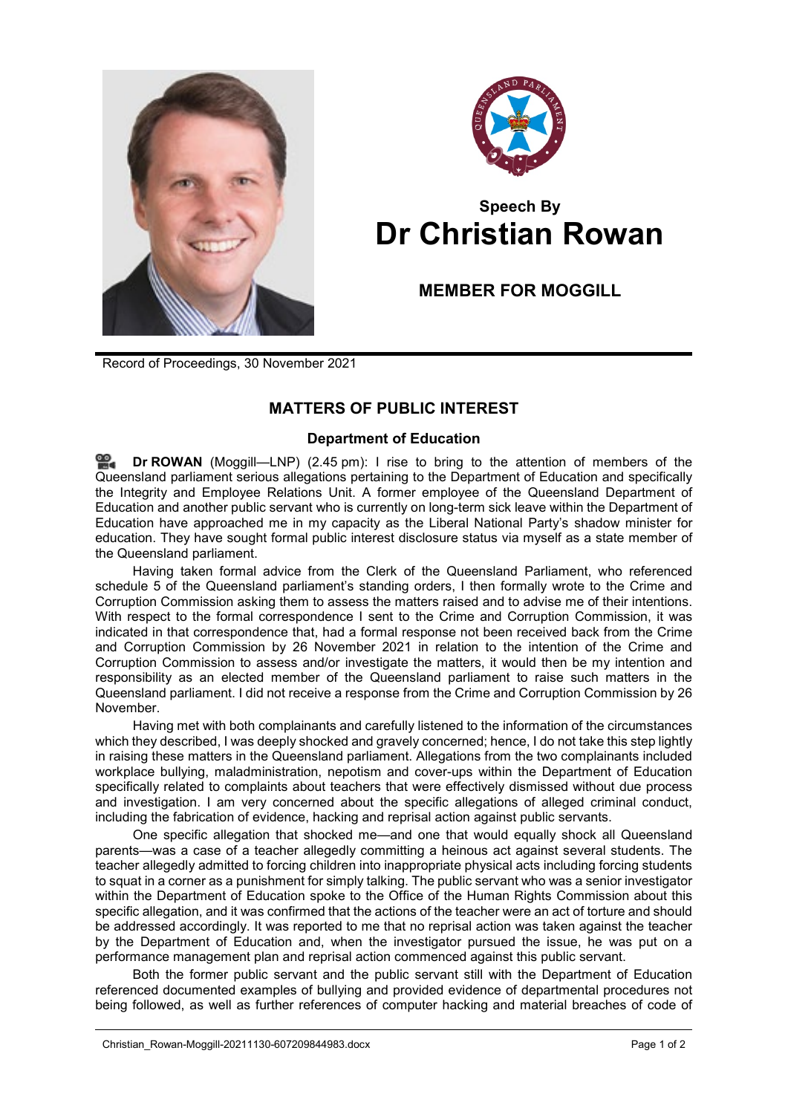



## **Speech By Dr Christian Rowan**

## **MEMBER FOR MOGGILL**

Record of Proceedings, 30 November 2021

## **MATTERS OF PUBLIC INTEREST**

## **Department of Education**

≌. **Dr [ROWAN](http://www.parliament.qld.gov.au/docs/find.aspx?id=0Mba20211130_144527)** (Moggill—LNP) (2.45 pm): I rise to bring to the attention of members of the Queensland parliament serious allegations pertaining to the Department of Education and specifically the Integrity and Employee Relations Unit. A former employee of the Queensland Department of Education and another public servant who is currently on long-term sick leave within the Department of Education have approached me in my capacity as the Liberal National Party's shadow minister for education. They have sought formal public interest disclosure status via myself as a state member of the Queensland parliament.

Having taken formal advice from the Clerk of the Queensland Parliament, who referenced schedule 5 of the Queensland parliament's standing orders, I then formally wrote to the Crime and Corruption Commission asking them to assess the matters raised and to advise me of their intentions. With respect to the formal correspondence I sent to the Crime and Corruption Commission, it was indicated in that correspondence that, had a formal response not been received back from the Crime and Corruption Commission by 26 November 2021 in relation to the intention of the Crime and Corruption Commission to assess and/or investigate the matters, it would then be my intention and responsibility as an elected member of the Queensland parliament to raise such matters in the Queensland parliament. I did not receive a response from the Crime and Corruption Commission by 26 November.

Having met with both complainants and carefully listened to the information of the circumstances which they described, I was deeply shocked and gravely concerned; hence, I do not take this step lightly in raising these matters in the Queensland parliament. Allegations from the two complainants included workplace bullying, maladministration, nepotism and cover-ups within the Department of Education specifically related to complaints about teachers that were effectively dismissed without due process and investigation. I am very concerned about the specific allegations of alleged criminal conduct, including the fabrication of evidence, hacking and reprisal action against public servants.

One specific allegation that shocked me—and one that would equally shock all Queensland parents—was a case of a teacher allegedly committing a heinous act against several students. The teacher allegedly admitted to forcing children into inappropriate physical acts including forcing students to squat in a corner as a punishment for simply talking. The public servant who was a senior investigator within the Department of Education spoke to the Office of the Human Rights Commission about this specific allegation, and it was confirmed that the actions of the teacher were an act of torture and should be addressed accordingly. It was reported to me that no reprisal action was taken against the teacher by the Department of Education and, when the investigator pursued the issue, he was put on a performance management plan and reprisal action commenced against this public servant.

Both the former public servant and the public servant still with the Department of Education referenced documented examples of bullying and provided evidence of departmental procedures not being followed, as well as further references of computer hacking and material breaches of code of